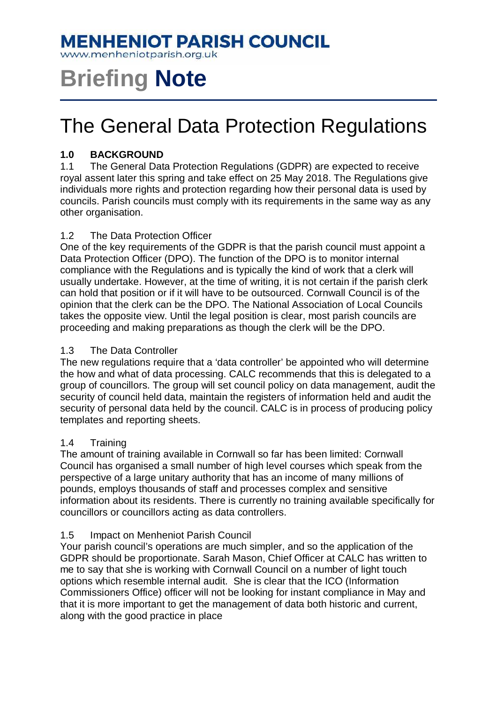### **MENHENIOT PARISH COUNCIL**

www.menheniotparish.org.uk

# **Briefing Note**

## The General Data Protection Regulations

#### **1.0 BACKGROUND**

1.1 The General Data Protection Regulations (GDPR) are expected to receive royal assent later this spring and take effect on 25 May 2018. The Regulations give individuals more rights and protection regarding how their personal data is used by councils. Parish councils must comply with its requirements in the same way as any other organisation.

#### 1.2 The Data Protection Officer

One of the key requirements of the GDPR is that the parish council must appoint a Data Protection Officer (DPO). The function of the DPO is to monitor internal compliance with the Regulations and is typically the kind of work that a clerk will usually undertake. However, at the time of writing, it is not certain if the parish clerk can hold that position or if it will have to be outsourced. Cornwall Council is of the opinion that the clerk can be the DPO. The National Association of Local Councils takes the opposite view. Until the legal position is clear, most parish councils are proceeding and making preparations as though the clerk will be the DPO.

#### 1.3 The Data Controller

The new regulations require that a 'data controller' be appointed who will determine the how and what of data processing. CALC recommends that this is delegated to a group of councillors. The group will set council policy on data management, audit the security of council held data, maintain the registers of information held and audit the security of personal data held by the council. CALC is in process of producing policy templates and reporting sheets.

#### 1.4 Training

The amount of training available in Cornwall so far has been limited: Cornwall Council has organised a small number of high level courses which speak from the perspective of a large unitary authority that has an income of many millions of pounds, employs thousands of staff and processes complex and sensitive information about its residents. There is currently no training available specifically for councillors or councillors acting as data controllers.

#### 1.5 Impact on Menheniot Parish Council

Your parish council's operations are much simpler, and so the application of the GDPR should be proportionate. Sarah Mason, Chief Officer at CALC has written to me to say that she is working with Cornwall Council on a number of light touch options which resemble internal audit. She is clear that the ICO (Information Commissioners Office) officer will not be looking for instant compliance in May and that it is more important to get the management of data both historic and current, along with the good practice in place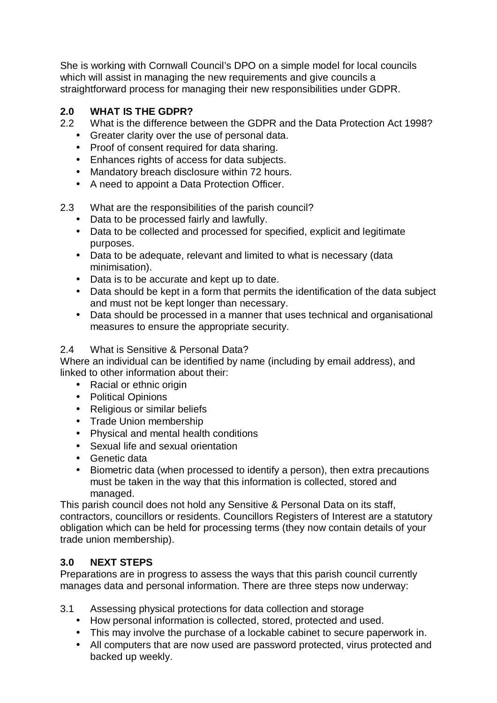She is working with Cornwall Council's DPO on a simple model for local councils which will assist in managing the new requirements and give councils a straightforward process for managing their new responsibilities under GDPR.

#### **2.0 WHAT IS THE GDPR?**

- 2.2 What is the difference between the GDPR and the Data Protection Act 1998?
	- Greater clarity over the use of personal data.
	- Proof of consent required for data sharing.
	- Enhances rights of access for data subjects.
	- Mandatory breach disclosure within 72 hours.
	- A need to appoint a Data Protection Officer.
- 2.3 What are the responsibilities of the parish council?
	- Data to be processed fairly and lawfully.
	- Data to be collected and processed for specified, explicit and legitimate purposes.
	- Data to be adequate, relevant and limited to what is necessary (data minimisation).
	- Data is to be accurate and kept up to date.
	- Data should be kept in a form that permits the identification of the data subject and must not be kept longer than necessary.
	- Data should be processed in a manner that uses technical and organisational measures to ensure the appropriate security.

#### 2.4 What is Sensitive & Personal Data?

Where an individual can be identified by name (including by email address), and linked to other information about their:

- Racial or ethnic origin
- Political Opinions
- Religious or similar beliefs
- Trade Union membership
- Physical and mental health conditions
- Sexual life and sexual orientation
- Genetic data
- Biometric data (when processed to identify a person), then extra precautions must be taken in the way that this information is collected, stored and managed.

This parish council does not hold any Sensitive & Personal Data on its staff, contractors, councillors or residents. Councillors Registers of Interest are a statutory obligation which can be held for processing terms (they now contain details of your trade union membership).

#### **3.0 NEXT STEPS**

Preparations are in progress to assess the ways that this parish council currently manages data and personal information. There are three steps now underway:

- 3.1 Assessing physical protections for data collection and storage
	- How personal information is collected, stored, protected and used.
	- This may involve the purchase of a lockable cabinet to secure paperwork in.
	- All computers that are now used are password protected, virus protected and backed up weekly.